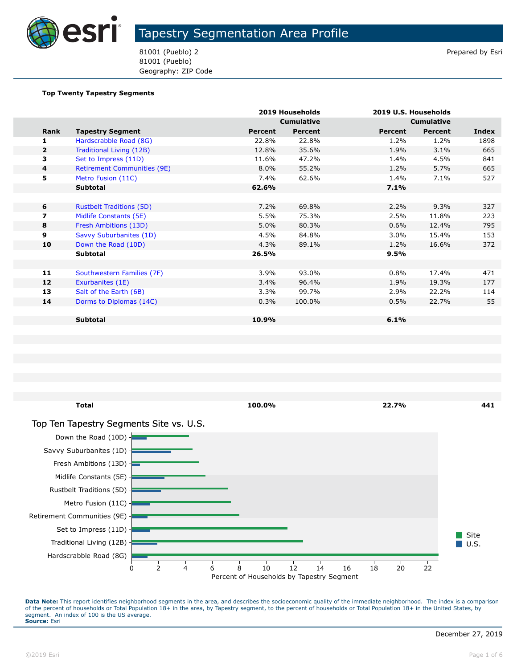

81001 (Pueblo) 2 Prepared by Esri 81001 (Pueblo) Geography: ZIP Code

#### **Top Twenty Tapestry Segments**

|                          |                                    |         | 2019 Households   |         | 2019 U.S. Households |       |
|--------------------------|------------------------------------|---------|-------------------|---------|----------------------|-------|
|                          |                                    |         | <b>Cumulative</b> |         | <b>Cumulative</b>    |       |
|                          | Rank<br><b>Tapestry Segment</b>    | Percent | <b>Percent</b>    | Percent | <b>Percent</b>       | Index |
| 1                        | Hardscrabble Road (8G)             | 22.8%   | 22.8%             | 1.2%    | 1.2%                 | 1898  |
| $\overline{2}$           | Traditional Living (12B)           | 12.8%   | 35.6%             | 1.9%    | 3.1%                 | 665   |
| 3                        | Set to Impress (11D)               | 11.6%   | 47.2%             | 1.4%    | 4.5%                 | 841   |
| 4                        | <b>Retirement Communities (9E)</b> | 8.0%    | 55.2%             | 1.2%    | 5.7%                 | 665   |
| 5                        | Metro Fusion (11C)                 | 7.4%    | 62.6%             | 1.4%    | 7.1%                 | 527   |
|                          | Subtotal                           | 62.6%   |                   | 7.1%    |                      |       |
|                          |                                    |         |                   |         |                      |       |
| 6                        | <b>Rustbelt Traditions (5D)</b>    | 7.2%    | 69.8%             | 2.2%    | 9.3%                 | 327   |
| $\overline{\phantom{a}}$ | Midlife Constants (5E)             | 5.5%    | 75.3%             | 2.5%    | 11.8%                | 223   |
| 8                        | Fresh Ambitions (13D)              | 5.0%    | 80.3%             | 0.6%    | 12.4%                | 795   |
| 9                        | Savvy Suburbanites (1D)            | 4.5%    | 84.8%             | $3.0\%$ | 15.4%                | 153   |
| 10                       | Down the Road (10D)                | 4.3%    | 89.1%             | 1.2%    | 16.6%                | 372   |
|                          | Subtotal                           | 26.5%   |                   | 9.5%    |                      |       |
|                          |                                    |         |                   |         |                      |       |
| 11                       | Southwestern Families (7F)         | 3.9%    | 93.0%             | 0.8%    | 17.4%                | 471   |
| 12                       | Exurbanites (1E)                   | 3.4%    | 96.4%             | 1.9%    | 19.3%                | 177   |
| 13                       | Salt of the Earth (6B)             | 3.3%    | 99.7%             | 2.9%    | 22.2%                | 114   |
| 14                       | Dorms to Diplomas (14C)            | 0.3%    | 100.0%            | 0.5%    | 22.7%                | 55    |
|                          |                                    |         |                   |         |                      |       |
|                          | <b>Subtotal</b>                    | 10.9%   |                   | 6.1%    |                      |       |
|                          |                                    |         |                   |         |                      |       |

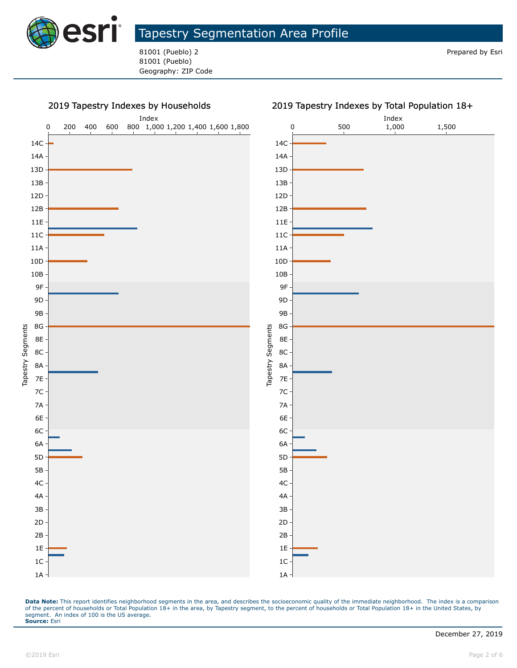

81001 (Pueblo) 2 **Prepared by Esri** 81001 (Pueblo) Geography: ZIP Code



#### 2019 Tapestry Indexes by Total Population 18+

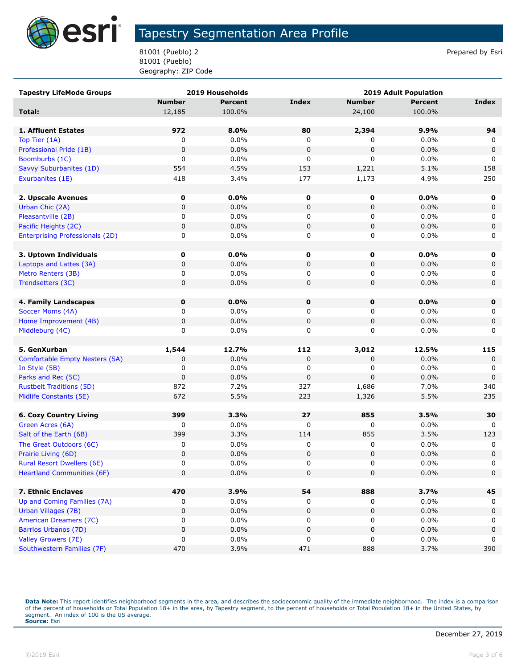

81001 (Pueblo) 2 Prepared by Esri 81001 (Pueblo) Geography: ZIP Code

| <b>Tapestry LifeMode Groups</b>        |               | 2019 Households | <b>2019 Adult Population</b> |               |              |             |
|----------------------------------------|---------------|-----------------|------------------------------|---------------|--------------|-------------|
|                                        | <b>Number</b> | <b>Percent</b>  | <b>Index</b>                 | <b>Number</b> | Percent      | Index       |
| Total:                                 | 12,185        | 100.0%          |                              | 24,100        | 100.0%       |             |
|                                        |               |                 |                              |               |              |             |
| 1. Affluent Estates                    | 972           | 8.0%            | 80                           | 2,394         | 9.9%         | 94          |
| Top Tier (1A)                          | 0             | 0.0%            | 0                            | 0             | 0.0%         | 0           |
| Professional Pride (1B)                | $\mathbf 0$   | 0.0%            | 0                            | $\pmb{0}$     | 0.0%         | $\mathbf 0$ |
| Boomburbs (1C)                         | 0             | 0.0%            | 0                            | 0             | 0.0%         | 0           |
| Savvy Suburbanites (1D)                | 554           | 4.5%            | 153                          | 1,221         | 5.1%         | 158         |
| Exurbanites (1E)                       | 418           | 3.4%            | 177                          | 1,173         | 4.9%         | 250         |
|                                        |               |                 |                              |               |              |             |
| 2. Upscale Avenues                     | 0             | 0.0%            | 0                            | 0             | 0.0%         | 0           |
| Urban Chic (2A)                        | $\pmb{0}$     | 0.0%            | 0                            | 0             | 0.0%         | 0           |
| Pleasantville (2B)                     | 0             | 0.0%            | 0                            | 0             | $0.0\%$      | 0           |
| Pacific Heights (2C)                   | 0             | 0.0%            | 0                            | 0             | 0.0%         | 0           |
| <b>Enterprising Professionals (2D)</b> | 0             | 0.0%            | 0                            | 0             | $0.0\%$      | 0           |
|                                        |               |                 |                              |               |              |             |
| 3. Uptown Individuals                  | $\mathbf 0$   | 0.0%            | 0                            | 0             | 0.0%         | 0           |
| Laptops and Lattes (3A)                | 0             | 0.0%            | 0                            | 0             | 0.0%         | 0           |
| Metro Renters (3B)                     | 0             | 0.0%            | 0                            | 0             | $0.0\%$      | 0           |
| Trendsetters (3C)                      | 0             | 0.0%            | 0                            | 0             | 0.0%         | $\mathbf 0$ |
|                                        |               |                 |                              |               |              |             |
| 4. Family Landscapes                   | 0             | 0.0%            | $\mathbf 0$                  | 0             | 0.0%         | $\mathbf 0$ |
| Soccer Moms (4A)                       | 0             | 0.0%            | 0                            | 0             | $0.0\%$      | 0           |
| Home Improvement (4B)                  | $\pmb{0}$     | 0.0%            | 0                            | $\pmb{0}$     | 0.0%         | $\pmb{0}$   |
| Middleburg (4C)                        | 0             | 0.0%            | 0                            | 0             | 0.0%         | 0           |
|                                        |               |                 |                              |               |              |             |
| 5. GenXurban                           | 1,544         | 12.7%           | 112                          | 3,012         | 12.5%        | 115         |
| Comfortable Empty Nesters (5A)         | 0<br>0        | 0.0%            | 0<br>0                       | 0<br>0        | 0.0%<br>0.0% | 0<br>0      |
| In Style (5B)<br>Parks and Rec (5C)    | $\mathbf 0$   | 0.0%<br>0.0%    | 0                            | 0             | 0.0%         | $\mathbf 0$ |
| <b>Rustbelt Traditions (5D)</b>        | 872           | 7.2%            | 327                          | 1,686         | 7.0%         | 340         |
| Midlife Constants (5E)                 | 672           | 5.5%            | 223                          | 1,326         | 5.5%         | 235         |
|                                        |               |                 |                              |               |              |             |
| <b>6. Cozy Country Living</b>          | 399           | 3.3%            | 27                           | 855           | 3.5%         | 30          |
| Green Acres (6A)                       | 0             | 0.0%            | 0                            | 0             | 0.0%         | 0           |
| Salt of the Earth (6B)                 | 399           | 3.3%            | 114                          | 855           | 3.5%         | 123         |
| The Great Outdoors (6C)                | 0             | 0.0%            | 0                            | 0             | 0.0%         | 0           |
| Prairie Living (6D)                    | 0             | 0.0%            | 0                            | $\pmb{0}$     | 0.0%         | $\pmb{0}$   |
| <b>Rural Resort Dwellers (6E)</b>      | 0             | 0.0%            | 0                            | 0             | 0.0%         | 0           |
| <b>Heartland Communities (6F)</b>      | $\mathbf 0$   | 0.0%            | 0                            | $\pmb{0}$     | 0.0%         | 0           |
|                                        |               |                 |                              |               |              |             |
| 7. Ethnic Enclaves                     | 470           | 3.9%            | 54                           | 888           | 3.7%         | 45          |
| Up and Coming Families (7A)            | 0             | $0.0\%$         | 0                            | 0             | $0.0\%$      | 0           |
| Urban Villages (7B)                    | 0             | 0.0%            | 0                            | 0             | 0.0%         | 0           |
| American Dreamers (7C)                 | 0             | 0.0%            | 0                            | 0             | 0.0%         | 0           |
| Barrios Urbanos (7D)                   | $\pmb{0}$     | 0.0%            | 0                            | 0             | 0.0%         | $\pmb{0}$   |
| Valley Growers (7E)                    | 0             | 0.0%            | 0                            | 0             | 0.0%         | 0           |
| Southwestern Families (7F)             | 470           | 3.9%            | 471                          | 888           | 3.7%         | 390         |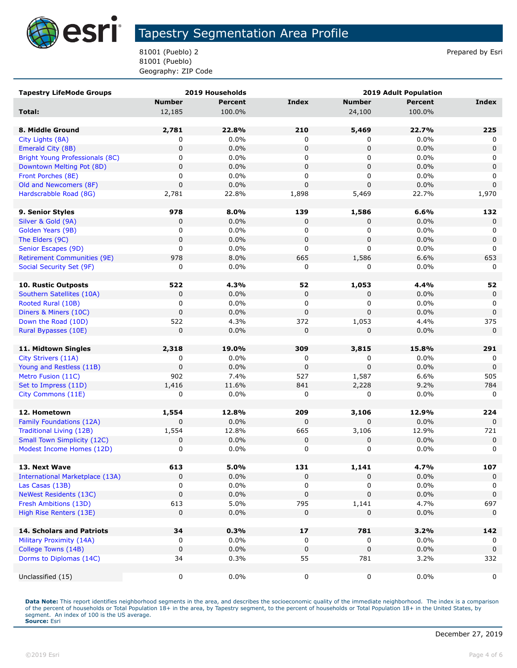

81001 (Pueblo) 2 Prepared by Esri 81001 (Pueblo) Geography: ZIP Code

| <b>Tapestry LifeMode Groups</b>        |               | 2019 Households |              | 2019 Adult Population |                |             |
|----------------------------------------|---------------|-----------------|--------------|-----------------------|----------------|-------------|
|                                        | <b>Number</b> | <b>Percent</b>  | <b>Index</b> | <b>Number</b>         | <b>Percent</b> | Index       |
| Total:                                 | 12,185        | 100.0%          |              | 24,100                | 100.0%         |             |
|                                        |               |                 |              |                       |                |             |
| 8. Middle Ground                       | 2,781         | 22.8%           | 210          | 5,469                 | 22.7%          | 225         |
| City Lights (8A)                       | 0             | 0.0%            | 0            | 0                     | 0.0%           | 0           |
| Emerald City (8B)                      | $\pmb{0}$     | 0.0%            | 0            | 0                     | 0.0%           | $\Omega$    |
| Bright Young Professionals (8C)        | 0             | 0.0%            | 0            | 0                     | $0.0\%$        | 0           |
| Downtown Melting Pot (8D)              | 0             | 0.0%            | 0            | $\mathbf 0$           | 0.0%           | 0           |
| Front Porches (8E)                     | 0             | $0.0\%$         | 0            | 0                     | $0.0\%$        | 0           |
| Old and Newcomers (8F)                 | $\mathbf 0$   | 0.0%            | $\mathbf 0$  | $\mathbf 0$           | 0.0%           | $\Omega$    |
| Hardscrabble Road (8G)                 | 2,781         | 22.8%           | 1,898        | 5,469                 | 22.7%          | 1,970       |
|                                        |               |                 |              |                       |                |             |
| 9. Senior Styles                       | 978           | 8.0%            | 139          | 1,586                 | 6.6%           | 132         |
| Silver & Gold (9A)                     | $\mathbf 0$   | 0.0%            | 0            | 0                     | 0.0%           | 0           |
| Golden Years (9B)                      | 0             | 0.0%            | 0            | 0                     | 0.0%           | 0           |
| The Elders (9C)                        | $\mathbf 0$   | 0.0%            | 0            | 0                     | 0.0%           | $\mathbf 0$ |
| Senior Escapes (9D)                    | 0             | 0.0%            | 0            | 0                     | $0.0\%$        | 0           |
| <b>Retirement Communities (9E)</b>     | 978           | 8.0%            | 665          | 1,586                 | 6.6%           | 653         |
| Social Security Set (9F)               | 0             | 0.0%            | 0            | 0                     | 0.0%           | 0           |
|                                        |               |                 |              |                       |                |             |
| <b>10. Rustic Outposts</b>             | 522           | 4.3%            | 52           | 1,053                 | 4.4%           | 52          |
| Southern Satellites (10A)              | 0             | 0.0%            | 0            | 0                     | 0.0%           | $\mathbf 0$ |
| Rooted Rural (10B)                     | 0             | 0.0%            | 0            | 0                     | $0.0\%$        | 0           |
| Diners & Miners (10C)                  | $\mathbf 0$   | 0.0%            | $\mathbf 0$  | $\Omega$              | 0.0%           | $\mathbf 0$ |
| Down the Road (10D)                    | 522           | 4.3%            | 372          | 1,053                 | 4.4%           | 375         |
| Rural Bypasses (10E)                   | 0             | 0.0%            | $\mathbf 0$  | 0                     | 0.0%           | $\mathbf 0$ |
|                                        |               |                 |              |                       |                |             |
| 11. Midtown Singles                    | 2,318         | 19.0%           | 309          | 3,815                 | 15.8%          | 291         |
| City Strivers (11A)                    | 0             | $0.0\%$         | 0            | 0                     | 0.0%           | 0           |
| Young and Restless (11B)               | $\mathbf 0$   | 0.0%            | $\mathbf 0$  | $\mathbf 0$           | 0.0%           | $\mathbf 0$ |
| Metro Fusion (11C)                     | 902           | 7.4%            | 527          | 1,587                 | 6.6%           | 505         |
| Set to Impress (11D)                   | 1,416         | 11.6%           | 841          | 2,228                 | 9.2%           | 784         |
| City Commons (11E)                     | 0             | 0.0%            | 0            | 0                     | $0.0\%$        | $\Omega$    |
| 12. Hometown                           | 1,554         | 12.8%           | 209          | 3,106                 | 12.9%          | 224         |
| Family Foundations (12A)               | 0             | 0.0%            | $\mathbf 0$  | 0                     | 0.0%           | 0           |
| <b>Traditional Living (12B)</b>        | 1,554         | 12.8%           | 665          | 3,106                 | 12.9%          | 721         |
| <b>Small Town Simplicity (12C)</b>     | 0             | 0.0%            | 0            | 0                     | 0.0%           | 0           |
| Modest Income Homes (12D)              | $\pmb{0}$     | 0.0%            | 0            | 0                     | 0.0%           | 0           |
|                                        |               |                 |              |                       |                |             |
| 13. Next Wave                          | 613           | 5.0%            | 131          | 1,141                 | 4.7%           | 107         |
| <b>International Marketplace (13A)</b> | 0             | 0.0%            | 0            | 0                     | 0.0%           | 0           |
| Las Casas (13B)                        | 0             | 0.0%            | 0            | 0                     | $0.0\%$        | 0           |
| <b>NeWest Residents (13C)</b>          | $\pmb{0}$     | 0.0%            | $\mathbf 0$  | $\mathbf 0$           | 0.0%           | 0           |
| Fresh Ambitions (13D)                  | 613           | 5.0%            | 795          | 1,141                 | 4.7%           | 697         |
| High Rise Renters (13E)                | 0             | 0.0%            | 0            | 0                     | 0.0%           | $\mathbf 0$ |
|                                        |               |                 |              |                       |                |             |
| <b>14. Scholars and Patriots</b>       | 34            | 0.3%            | 17           | 781                   | 3.2%           | 142         |
| Military Proximity (14A)               | 0             | 0.0%            | 0            | 0                     | $0.0\%$        |             |
| College Towns (14B)                    | $\pmb{0}$     | 0.0%            | $\mathbf 0$  | 0                     | 0.0%           | $\mathbf 0$ |
| Dorms to Diplomas (14C)                | 34            | 0.3%            | 55           | 781                   | 3.2%           | 332         |
|                                        |               |                 |              |                       |                |             |
| Unclassified (15)                      | 0             | 0.0%            | 0            | 0                     | $0.0\%$        | 0           |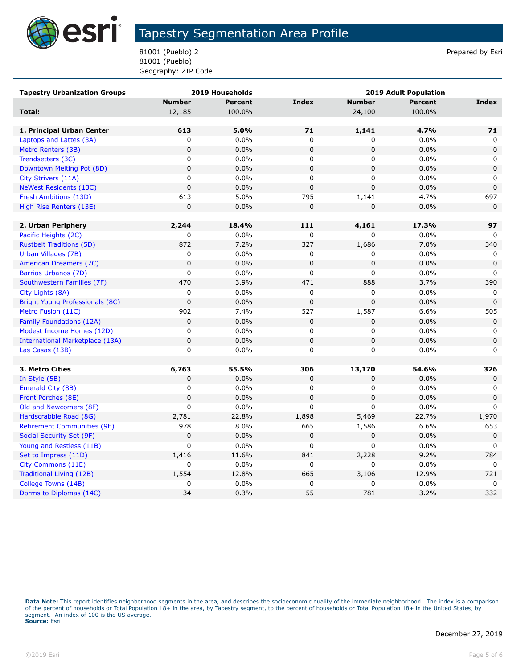

81001 (Pueblo) 2 Prepared by Esri 81001 (Pueblo) Geography: ZIP Code

| <b>Tapestry Urbanization Groups</b>    |               | 2019 Households | <b>2019 Adult Population</b> |               |                |              |
|----------------------------------------|---------------|-----------------|------------------------------|---------------|----------------|--------------|
|                                        | <b>Number</b> | <b>Percent</b>  | <b>Index</b>                 | <b>Number</b> | <b>Percent</b> | <b>Index</b> |
| Total:                                 | 12,185        | 100.0%          |                              | 24,100        | 100.0%         |              |
|                                        |               |                 |                              |               |                |              |
| 1. Principal Urban Center              | 613           | 5.0%            | 71                           | 1,141         | 4.7%           | 71           |
| Laptops and Lattes (3A)                | 0             | 0.0%            | $\mathbf 0$                  | 0             | 0.0%           | 0            |
| Metro Renters (3B)                     | $\mathbf 0$   | 0.0%            | $\mathbf 0$                  | 0             | 0.0%           | $\mathbf 0$  |
| Trendsetters (3C)                      | 0             | 0.0%            | 0                            | 0             | 0.0%           | 0            |
| Downtown Melting Pot (8D)              | $\mathbf 0$   | 0.0%            | $\mathbf 0$                  | 0             | 0.0%           | $\mathbf 0$  |
| City Strivers (11A)                    | $\mathsf 0$   | 0.0%            | $\mathbf 0$                  | 0             | 0.0%           | 0            |
| <b>NeWest Residents (13C)</b>          | $\mathbf 0$   | 0.0%            | $\mathbf 0$                  | $\mathbf 0$   | 0.0%           | $\mathbf 0$  |
| Fresh Ambitions (13D)                  | 613           | 5.0%            | 795                          | 1,141         | 4.7%           | 697          |
| High Rise Renters (13E)                | $\mathbf 0$   | 0.0%            | $\mathbf 0$                  | 0             | 0.0%           | $\mathbf 0$  |
|                                        |               |                 |                              |               |                |              |
| 2. Urban Periphery                     | 2,244         | 18.4%           | 111                          | 4,161         | 17.3%          | 97           |
| Pacific Heights (2C)                   | 0             | 0.0%            | 0                            | 0             | 0.0%           | 0            |
| <b>Rustbelt Traditions (5D)</b>        | 872           | 7.2%            | 327                          | 1,686         | 7.0%           | 340          |
| Urban Villages (7B)                    | $\mathsf 0$   | 0.0%            | $\mathbf 0$                  | 0             | 0.0%           | $\mathbf 0$  |
| American Dreamers (7C)                 | $\mathbf 0$   | 0.0%            | $\pmb{0}$                    | 0             | 0.0%           | 0            |
| Barrios Urbanos (7D)                   | $\mathsf 0$   | 0.0%            | $\mathbf 0$                  | 0             | 0.0%           | $\mathbf{0}$ |
| Southwestern Families (7F)             | 470           | 3.9%            | 471                          | 888           | 3.7%           | 390          |
| City Lights (8A)                       | $\mathsf 0$   | 0.0%            | $\mathbf 0$                  | 0             | 0.0%           | 0            |
| Bright Young Professionals (8C)        | $\mathbf 0$   | 0.0%            | $\pmb{0}$                    | $\mathbf 0$   | 0.0%           | $\mathbf 0$  |
| Metro Fusion (11C)                     | 902           | 7.4%            | 527                          | 1,587         | 6.6%           | 505          |
| Family Foundations (12A)               | $\mathbf 0$   | 0.0%            | $\mathbf 0$                  | 0             | 0.0%           | $\mathbf 0$  |
| Modest Income Homes (12D)              | 0             | 0.0%            | 0                            | 0             | 0.0%           | 0            |
| <b>International Marketplace (13A)</b> | $\mathbf 0$   | 0.0%            | $\mathbf 0$                  | 0             | 0.0%           | $\mathbf 0$  |
| Las Casas (13B)                        | $\mathbf 0$   | 0.0%            | $\mathbf 0$                  | 0             | 0.0%           | $\mathbf 0$  |
|                                        |               |                 |                              |               |                |              |
| 3. Metro Cities                        | 6,763         | 55.5%           | 306                          | 13,170        | 54.6%          | 326          |
| In Style (5B)                          | 0             | 0.0%            | 0                            | 0             | 0.0%           | $\Omega$     |
| Emerald City (8B)                      | $\mathsf 0$   | 0.0%            | 0                            | 0             | 0.0%           | 0            |
| Front Porches (8E)                     | $\mathbf 0$   | 0.0%            | $\pmb{0}$                    | 0             | 0.0%           | $\mathbf 0$  |
| Old and Newcomers (8F)                 | $\mathbf 0$   | 0.0%            | 0                            | 0             | 0.0%           | $\mathbf{0}$ |
| Hardscrabble Road (8G)                 | 2,781         | 22.8%           | 1,898                        | 5,469         | 22.7%          | 1,970        |
| <b>Retirement Communities (9E)</b>     | 978           | 8.0%            | 665                          | 1,586         | 6.6%           | 653          |
| Social Security Set (9F)               | $\pmb{0}$     | 0.0%            | $\pmb{0}$                    | 0             | 0.0%           | $\mathbf 0$  |
| Young and Restless (11B)               | $\mathbf 0$   | 0.0%            | $\mathbf 0$                  | 0             | 0.0%           | $\Omega$     |
| Set to Impress (11D)                   | 1,416         | 11.6%           | 841                          | 2,228         | 9.2%           | 784          |
| City Commons (11E)                     | $\mathbf 0$   | 0.0%            | 0                            | 0             | 0.0%           | $\mathbf{0}$ |
| <b>Traditional Living (12B)</b>        | 1,554         | 12.8%           | 665                          | 3,106         | 12.9%          | 721          |
| College Towns (14B)                    | 0             | 0.0%            | 0                            | 0             | 0.0%           | $\mathbf 0$  |
| Dorms to Diplomas (14C)                | 34            | 0.3%            | 55                           | 781           | 3.2%           | 332          |